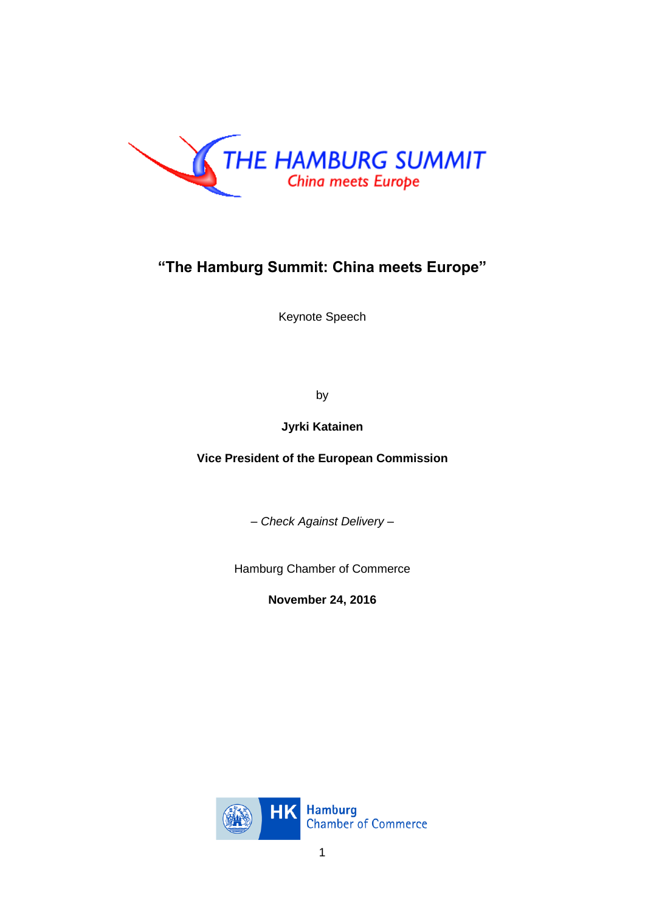

## **"The Hamburg Summit: China meets Europe"**

Keynote Speech

by

**Jyrki Katainen**

**Vice President of the European Commission**

*– Check Against Delivery –*

Hamburg Chamber of Commerce

**November 24, 2016**

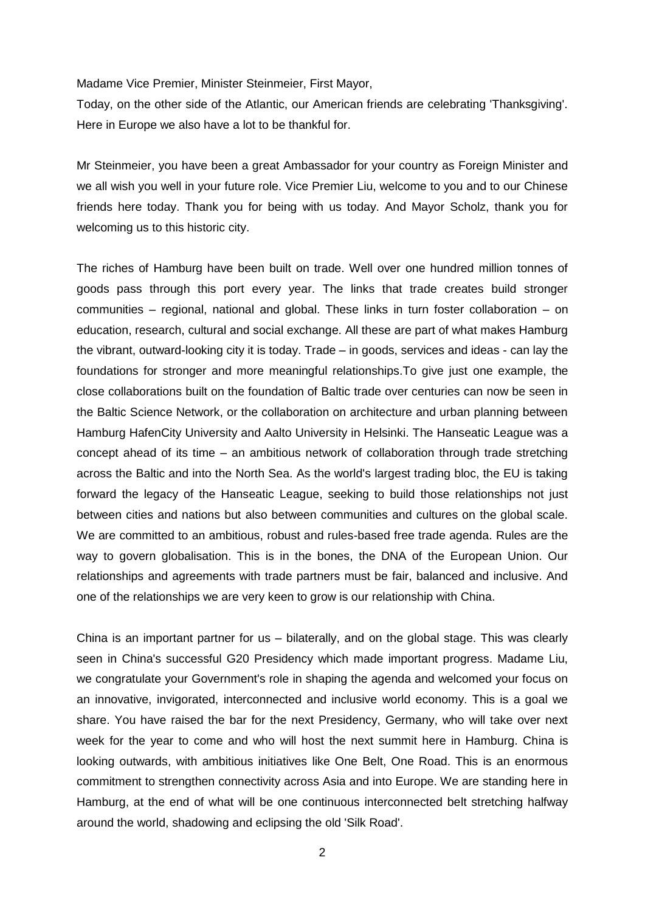Madame Vice Premier, Minister Steinmeier, First Mayor,

Today, on the other side of the Atlantic, our American friends are celebrating 'Thanksgiving'. Here in Europe we also have a lot to be thankful for.

Mr Steinmeier, you have been a great Ambassador for your country as Foreign Minister and we all wish you well in your future role. Vice Premier Liu, welcome to you and to our Chinese friends here today. Thank you for being with us today. And Mayor Scholz, thank you for welcoming us to this historic city.

The riches of Hamburg have been built on trade. Well over one hundred million tonnes of goods pass through this port every year. The links that trade creates build stronger communities – regional, national and global. These links in turn foster collaboration – on education, research, cultural and social exchange. All these are part of what makes Hamburg the vibrant, outward-looking city it is today. Trade – in goods, services and ideas - can lay the foundations for stronger and more meaningful relationships.To give just one example, the close collaborations built on the foundation of Baltic trade over centuries can now be seen in the Baltic Science Network, or the collaboration on architecture and urban planning between Hamburg HafenCity University and Aalto University in Helsinki. The Hanseatic League was a concept ahead of its time – an ambitious network of collaboration through trade stretching across the Baltic and into the North Sea. As the world's largest trading bloc, the EU is taking forward the legacy of the Hanseatic League, seeking to build those relationships not just between cities and nations but also between communities and cultures on the global scale. We are committed to an ambitious, robust and rules-based free trade agenda. Rules are the way to govern globalisation. This is in the bones, the DNA of the European Union. Our relationships and agreements with trade partners must be fair, balanced and inclusive. And one of the relationships we are very keen to grow is our relationship with China.

China is an important partner for us – bilaterally, and on the global stage. This was clearly seen in China's successful G20 Presidency which made important progress. Madame Liu, we congratulate your Government's role in shaping the agenda and welcomed your focus on an innovative, invigorated, interconnected and inclusive world economy. This is a goal we share. You have raised the bar for the next Presidency, Germany, who will take over next week for the year to come and who will host the next summit here in Hamburg. China is looking outwards, with ambitious initiatives like One Belt, One Road. This is an enormous commitment to strengthen connectivity across Asia and into Europe. We are standing here in Hamburg, at the end of what will be one continuous interconnected belt stretching halfway around the world, shadowing and eclipsing the old 'Silk Road'.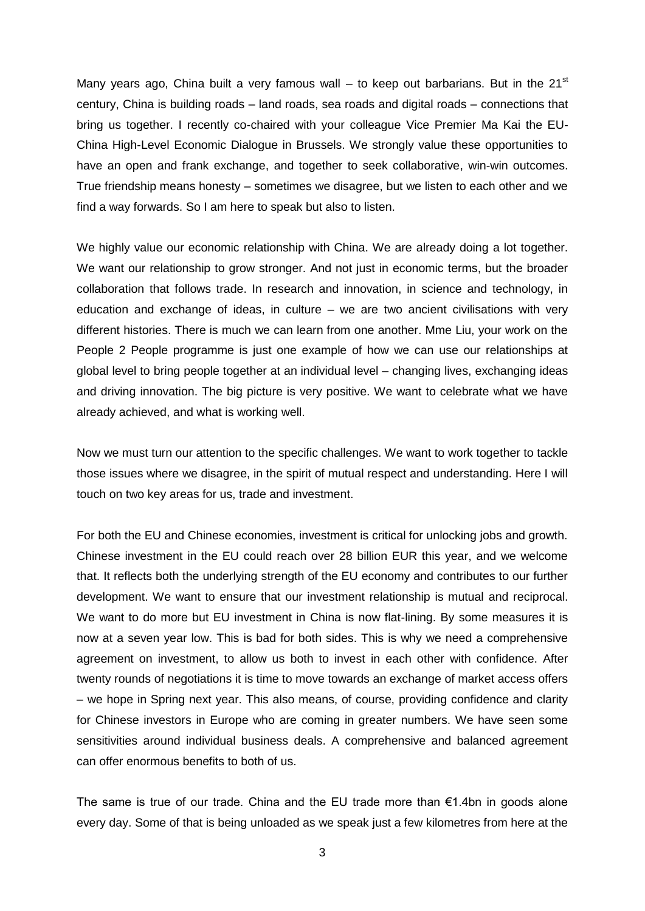Many years ago, China built a very famous wall  $-$  to keep out barbarians. But in the 21<sup>st</sup> century, China is building roads – land roads, sea roads and digital roads – connections that bring us together. I recently co-chaired with your colleague Vice Premier Ma Kai the EU-China High-Level Economic Dialogue in Brussels. We strongly value these opportunities to have an open and frank exchange, and together to seek collaborative, win-win outcomes. True friendship means honesty – sometimes we disagree, but we listen to each other and we find a way forwards. So I am here to speak but also to listen.

We highly value our economic relationship with China. We are already doing a lot together. We want our relationship to grow stronger. And not just in economic terms, but the broader collaboration that follows trade. In research and innovation, in science and technology, in education and exchange of ideas, in culture – we are two ancient civilisations with very different histories. There is much we can learn from one another. Mme Liu, your work on the People 2 People programme is just one example of how we can use our relationships at global level to bring people together at an individual level – changing lives, exchanging ideas and driving innovation. The big picture is very positive. We want to celebrate what we have already achieved, and what is working well.

Now we must turn our attention to the specific challenges. We want to work together to tackle those issues where we disagree, in the spirit of mutual respect and understanding. Here I will touch on two key areas for us, trade and investment.

For both the EU and Chinese economies, investment is critical for unlocking jobs and growth. Chinese investment in the EU could reach over 28 billion EUR this year, and we welcome that. It reflects both the underlying strength of the EU economy and contributes to our further development. We want to ensure that our investment relationship is mutual and reciprocal. We want to do more but EU investment in China is now flat-lining. By some measures it is now at a seven year low. This is bad for both sides. This is why we need a comprehensive agreement on investment, to allow us both to invest in each other with confidence. After twenty rounds of negotiations it is time to move towards an exchange of market access offers – we hope in Spring next year. This also means, of course, providing confidence and clarity for Chinese investors in Europe who are coming in greater numbers. We have seen some sensitivities around individual business deals. A comprehensive and balanced agreement can offer enormous benefits to both of us.

The same is true of our trade. China and the EU trade more than  $\epsilon$ 1.4bn in goods alone every day. Some of that is being unloaded as we speak just a few kilometres from here at the